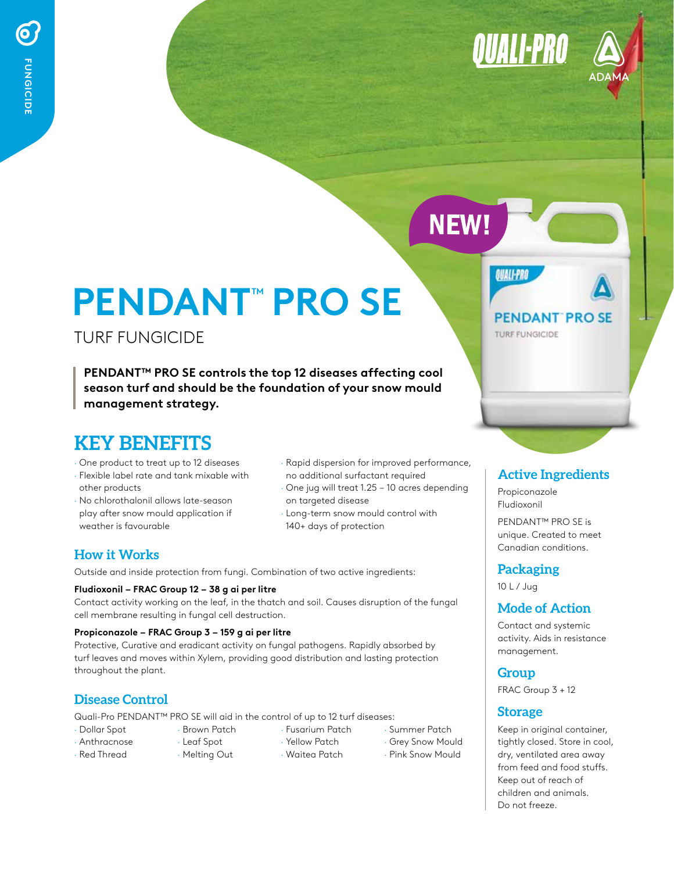**II-PRO** 



# **PENDANT**™  **PRO SE**

TURF FUNGICIDE

**PENDANT™ PRO SE controls the top 12 diseases affecting cool season turf and should be the foundation of your snow mould management strategy.** 

### **KEY BENEFITS**

- · One product to treat up to 12 diseases
- · Flexible label rate and tank mixable with other products
- · No chlorothalonil allows late-season play after snow mould application if weather is favourable
- Rapid dispersion for improved performance, no additional surfactant required
- · One jug will treat 1.25 10 acres depending on targeted disease
- Long-term snow mould control with 140+ days of protection

#### **How it Works**

Outside and inside protection from fungi. Combination of two active ingredients:

#### **Fludioxonil – FRAC Group 12 – 38 g ai per litre**

Contact activity working on the leaf, in the thatch and soil. Causes disruption of the fungal cell membrane resulting in fungal cell destruction.

#### **Propiconazole – FRAC Group 3 – 159 g ai per litre**

Protective, Curative and eradicant activity on fungal pathogens. Rapidly absorbed by turf leaves and moves within Xylem, providing good distribution and lasting protection throughout the plant.

#### **Disease Control**

Quali-Pro PENDANT™ PRO SE will aid in the control of up to 12 turf diseases:

- · Dollar Spot
- · Brown Patch · Leaf Spot
- · Yellow Patch
- 
- · Summer Patch
- · Grey Snow Mould
- · Pink Snow Mould

## **PENDANT PROSE**

**TURF FUNGICIDE** 

**OUALI-PRO** 

**NEW!** 

#### **Active Ingredients**

Propiconazole Fludioxonil

PENDANT™ PRO SE is unique. Created to meet Canadian conditions.

#### **Packaging**

10 L / Jug

#### **Mode of Action**

Contact and systemic activity. Aids in resistance management.

#### **Group**

FRAC Group 3 + 12

#### **Storage**

Keep in original container, tightly closed. Store in cool, dry, ventilated area away from feed and food stuffs. Keep out of reach of children and animals. Do not freeze.

- · Anthracnose · Red Thread
- · Melting Out
- · Waitea Patch
- · Fusarium Patch